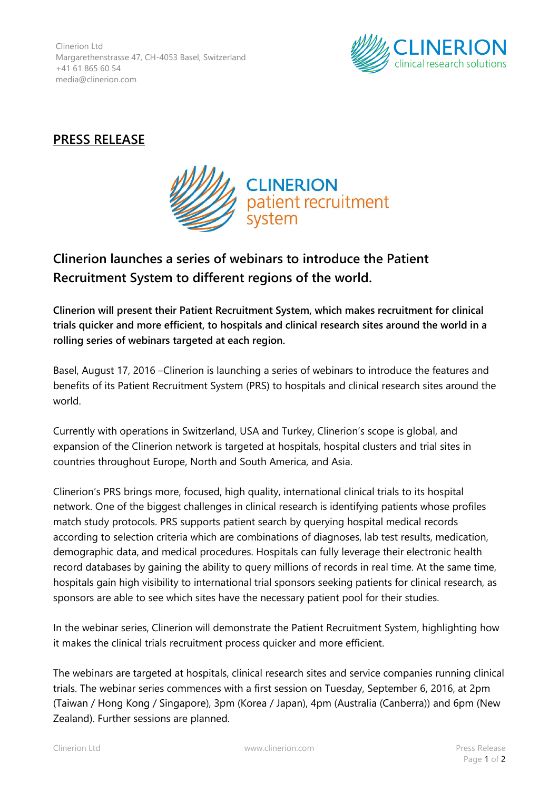Clinerion Ltd Margarethenstrasse 47, CH-4053 Basel, Switzerland +41 61 865 60 54 media@clinerion.com



## **PRESS RELEASE**



## **Clinerion launches a series of webinars to introduce the Patient Recruitment System to different regions of the world.**

**Clinerion will present their Patient Recruitment System, which makes recruitment for clinical trials quicker and more efficient, to hospitals and clinical research sites around the world in a rolling series of webinars targeted at each region.**

Basel, August 17, 2016 –Clinerion is launching a series of webinars to introduce the features and benefits of its Patient Recruitment System (PRS) to hospitals and clinical research sites around the world.

Currently with operations in Switzerland, USA and Turkey, Clinerion's scope is global, and expansion of the Clinerion network is targeted at hospitals, hospital clusters and trial sites in countries throughout Europe, North and South America, and Asia.

Clinerion's PRS brings more, focused, high quality, international clinical trials to its hospital network. One of the biggest challenges in clinical research is identifying patients whose profiles match study protocols. PRS supports patient search by querying hospital medical records according to selection criteria which are combinations of diagnoses, lab test results, medication, demographic data, and medical procedures. Hospitals can fully leverage their electronic health record databases by gaining the ability to query millions of records in real time. At the same time, hospitals gain high visibility to international trial sponsors seeking patients for clinical research, as sponsors are able to see which sites have the necessary patient pool for their studies.

In the webinar series, Clinerion will demonstrate the Patient Recruitment System, highlighting how it makes the clinical trials recruitment process quicker and more efficient.

The webinars are targeted at hospitals, clinical research sites and service companies running clinical trials. The webinar series commences with a first session on Tuesday, September 6, 2016, at 2pm (Taiwan / Hong Kong / Singapore), 3pm (Korea / Japan), 4pm (Australia (Canberra)) and 6pm (New Zealand). Further sessions are planned.